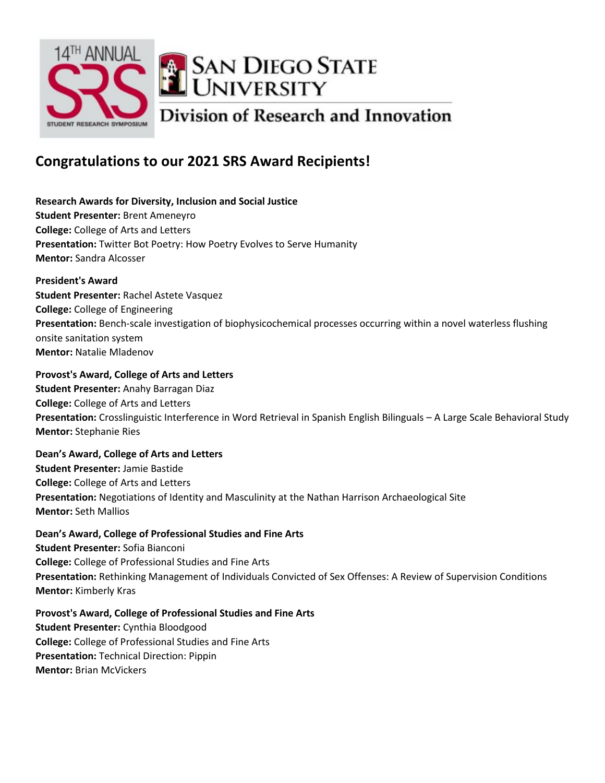

# **Congratulations to our 2021 SRS Award Recipients!**

**Research Awards for Diversity, Inclusion and Social Justice Student Presenter:** Brent Ameneyro **College:** College of Arts and Letters **Presentation:** Twitter Bot Poetry: How Poetry Evolves to Serve Humanity **Mentor:** Sandra Alcosser

**President's Award Student Presenter:** Rachel Astete Vasquez **College:** College of Engineering **Presentation:** Bench-scale investigation of biophysicochemical processes occurring within a novel waterless flushing onsite sanitation system **Mentor:** Natalie Mladenov

**Provost's Award, College of Arts and Letters Student Presenter:** Anahy Barragan Diaz **College:** College of Arts and Letters **Presentation:** Crosslinguistic Interference in Word Retrieval in Spanish English Bilinguals – A Large Scale Behavioral Study **Mentor:** Stephanie Ries

**Dean's Award, College of Arts and Letters Student Presenter:** Jamie Bastide **College:** College of Arts and Letters **Presentation:** Negotiations of Identity and Masculinity at the Nathan Harrison Archaeological Site **Mentor:** Seth Mallios

**Dean's Award, College of Professional Studies and Fine Arts Student Presenter:** Sofia Bianconi **College:** College of Professional Studies and Fine Arts **Presentation:** Rethinking Management of Individuals Convicted of Sex Offenses: A Review of Supervision Conditions **Mentor:** Kimberly Kras

**Provost's Award, College of Professional Studies and Fine Arts Student Presenter:** Cynthia Bloodgood **College:** College of Professional Studies and Fine Arts **Presentation:** Technical Direction: Pippin **Mentor:** Brian McVickers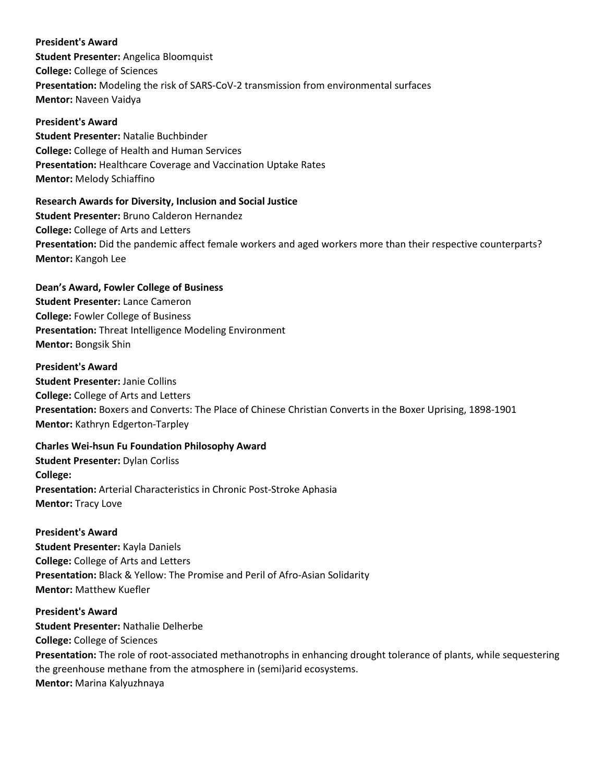## **President's Award**

**Student Presenter:** Angelica Bloomquist **College:** College of Sciences **Presentation:** Modeling the risk of SARS-CoV-2 transmission from environmental surfaces **Mentor:** Naveen Vaidya

### **President's Award**

**Student Presenter:** Natalie Buchbinder **College:** College of Health and Human Services **Presentation:** Healthcare Coverage and Vaccination Uptake Rates **Mentor:** Melody Schiaffino

## **Research Awards for Diversity, Inclusion and Social Justice**

**Student Presenter:** Bruno Calderon Hernandez **College:** College of Arts and Letters **Presentation:** Did the pandemic affect female workers and aged workers more than their respective counterparts? **Mentor:** Kangoh Lee

## **Dean's Award, Fowler College of Business**

**Student Presenter:** Lance Cameron **College:** Fowler College of Business **Presentation:** Threat Intelligence Modeling Environment **Mentor:** Bongsik Shin

## **President's Award**

**Student Presenter:** Janie Collins **College:** College of Arts and Letters **Presentation:** Boxers and Converts: The Place of Chinese Christian Converts in the Boxer Uprising, 1898-1901 **Mentor:** Kathryn Edgerton-Tarpley

# **Charles Wei-hsun Fu Foundation Philosophy Award**

**Student Presenter:** Dylan Corliss **College: Presentation:** Arterial Characteristics in Chronic Post-Stroke Aphasia **Mentor:** Tracy Love

## **President's Award**

**Student Presenter:** Kayla Daniels **College:** College of Arts and Letters **Presentation:** Black & Yellow: The Promise and Peril of Afro-Asian Solidarity **Mentor:** Matthew Kuefler

## **President's Award Student Presenter:** Nathalie Delherbe

**College:** College of Sciences

**Presentation:** The role of root-associated methanotrophs in enhancing drought tolerance of plants, while sequestering the greenhouse methane from the atmosphere in (semi)arid ecosystems. **Mentor:** Marina Kalyuzhnaya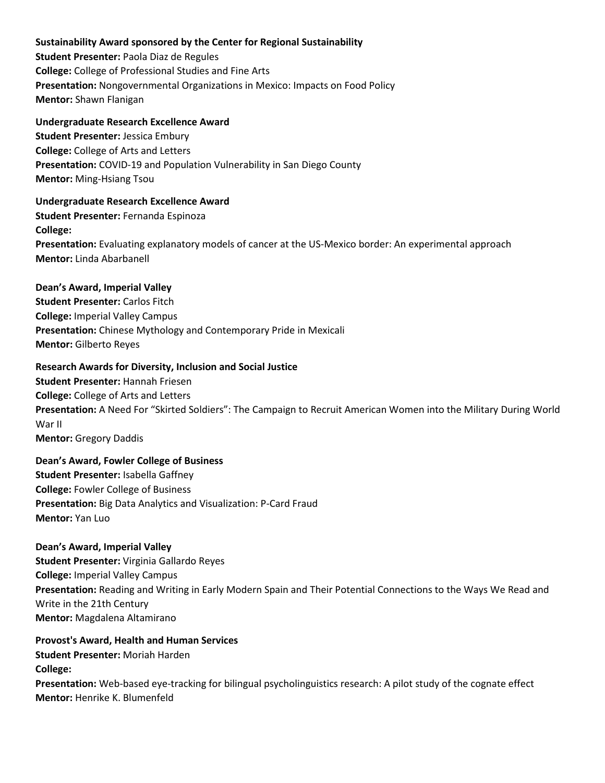## **Sustainability Award sponsored by the Center for Regional Sustainability**

**Student Presenter:** Paola Diaz de Regules **College:** College of Professional Studies and Fine Arts **Presentation:** Nongovernmental Organizations in Mexico: Impacts on Food Policy **Mentor:** Shawn Flanigan

### **Undergraduate Research Excellence Award**

**Student Presenter:** Jessica Embury **College:** College of Arts and Letters **Presentation:** COVID-19 and Population Vulnerability in San Diego County **Mentor:** Ming-Hsiang Tsou

### **Undergraduate Research Excellence Award**

**Student Presenter:** Fernanda Espinoza **College: Presentation:** Evaluating explanatory models of cancer at the US-Mexico border: An experimental approach **Mentor:** Linda Abarbanell

### **Dean's Award, Imperial Valley**

**Student Presenter:** Carlos Fitch **College:** Imperial Valley Campus **Presentation:** Chinese Mythology and Contemporary Pride in Mexicali **Mentor:** Gilberto Reyes

## **Research Awards for Diversity, Inclusion and Social Justice**

**Student Presenter:** Hannah Friesen **College:** College of Arts and Letters **Presentation:** A Need For "Skirted Soldiers": The Campaign to Recruit American Women into the Military During World War II **Mentor:** Gregory Daddis

## **Dean's Award, Fowler College of Business Student Presenter:** Isabella Gaffney **College:** Fowler College of Business **Presentation:** Big Data Analytics and Visualization: P-Card Fraud **Mentor:** Yan Luo

#### **Dean's Award, Imperial Valley**

**Student Presenter:** Virginia Gallardo Reyes **College:** Imperial Valley Campus **Presentation:** Reading and Writing in Early Modern Spain and Their Potential Connections to the Ways We Read and Write in the 21th Century **Mentor:** Magdalena Altamirano

## **Provost's Award, Health and Human Services Student Presenter:** Moriah Harden **College:**

**Presentation:** Web-based eye-tracking for bilingual psycholinguistics research: A pilot study of the cognate effect **Mentor:** Henrike K. Blumenfeld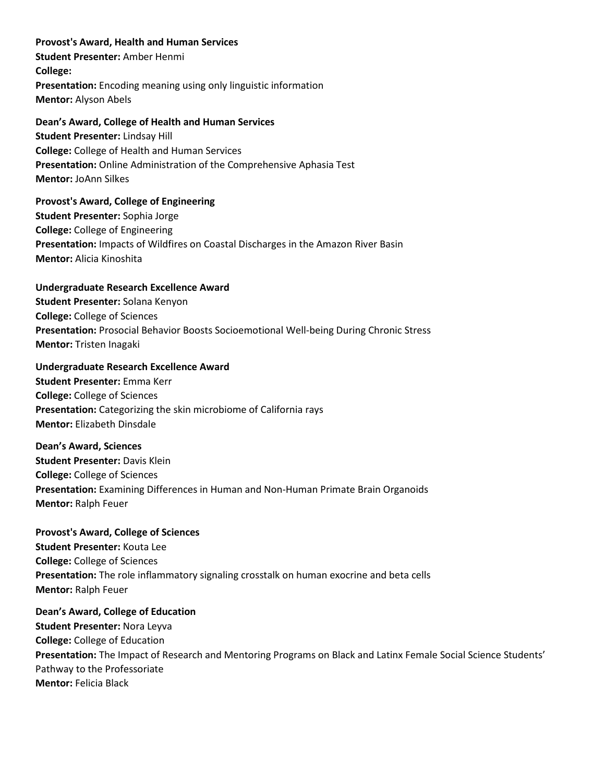**Provost's Award, Health and Human Services Student Presenter:** Amber Henmi **College: Presentation:** Encoding meaning using only linguistic information **Mentor:** Alyson Abels

### **Dean's Award, College of Health and Human Services**

**Student Presenter:** Lindsay Hill **College:** College of Health and Human Services **Presentation:** Online Administration of the Comprehensive Aphasia Test **Mentor:** JoAnn Silkes

**Provost's Award, College of Engineering Student Presenter:** Sophia Jorge **College:** College of Engineering **Presentation:** Impacts of Wildfires on Coastal Discharges in the Amazon River Basin **Mentor:** Alicia Kinoshita

## **Undergraduate Research Excellence Award**

**Student Presenter:** Solana Kenyon **College:** College of Sciences **Presentation:** Prosocial Behavior Boosts Socioemotional Well-being During Chronic Stress **Mentor:** Tristen Inagaki

### **Undergraduate Research Excellence Award**

**Student Presenter:** Emma Kerr **College:** College of Sciences **Presentation:** Categorizing the skin microbiome of California rays **Mentor:** Elizabeth Dinsdale

#### **Dean's Award, Sciences**

**Student Presenter:** Davis Klein **College:** College of Sciences **Presentation:** Examining Differences in Human and Non-Human Primate Brain Organoids **Mentor:** Ralph Feuer

# **Provost's Award, College of Sciences**

**Student Presenter:** Kouta Lee **College:** College of Sciences **Presentation:** The role inflammatory signaling crosstalk on human exocrine and beta cells **Mentor:** Ralph Feuer

**Dean's Award, College of Education Student Presenter:** Nora Leyva **College:** College of Education **Presentation:** The Impact of Research and Mentoring Programs on Black and Latinx Female Social Science Students' Pathway to the Professoriate **Mentor:** Felicia Black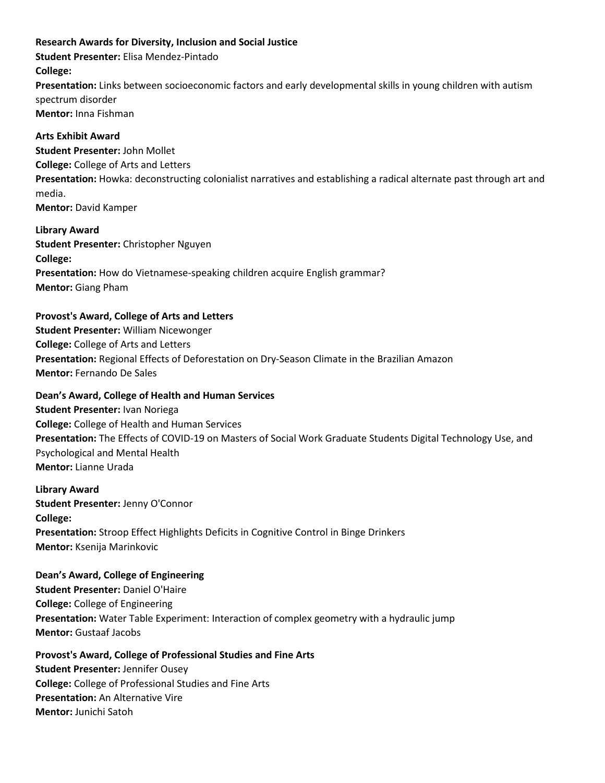### **Research Awards for Diversity, Inclusion and Social Justice**

**Student Presenter:** Elisa Mendez-Pintado

## **College:**

**Presentation:** Links between socioeconomic factors and early developmental skills in young children with autism spectrum disorder

**Mentor:** Inna Fishman

## **Arts Exhibit Award**

**Student Presenter:** John Mollet **College:** College of Arts and Letters **Presentation:** Howka: deconstructing colonialist narratives and establishing a radical alternate past through art and media. **Mentor:** David Kamper

**Library Award Student Presenter:** Christopher Nguyen **College: Presentation:** How do Vietnamese-speaking children acquire English grammar? **Mentor:** Giang Pham

# **Provost's Award, College of Arts and Letters**

**Student Presenter:** William Nicewonger **College:** College of Arts and Letters **Presentation:** Regional Effects of Deforestation on Dry-Season Climate in the Brazilian Amazon **Mentor:** Fernando De Sales

## **Dean's Award, College of Health and Human Services**

**Student Presenter:** Ivan Noriega **College:** College of Health and Human Services **Presentation:** The Effects of COVID-19 on Masters of Social Work Graduate Students Digital Technology Use, and Psychological and Mental Health **Mentor:** Lianne Urada

**Library Award**

**Student Presenter:** Jenny O'Connor **College: Presentation:** Stroop Effect Highlights Deficits in Cognitive Control in Binge Drinkers **Mentor:** Ksenija Marinkovic

## **Dean's Award, College of Engineering**

**Student Presenter:** Daniel O'Haire **College:** College of Engineering **Presentation:** Water Table Experiment: Interaction of complex geometry with a hydraulic jump **Mentor:** Gustaaf Jacobs

## **Provost's Award, College of Professional Studies and Fine Arts**

**Student Presenter:** Jennifer Ousey **College:** College of Professional Studies and Fine Arts **Presentation:** An Alternative Vire **Mentor:** Junichi Satoh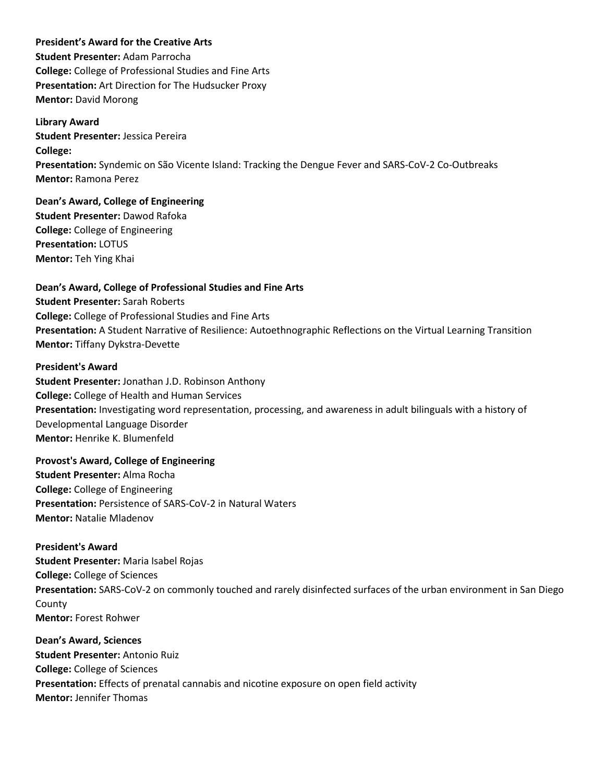### **President's Award for the Creative Arts**

**Student Presenter:** Adam Parrocha **College:** College of Professional Studies and Fine Arts **Presentation:** Art Direction for The Hudsucker Proxy **Mentor:** David Morong

**Library Award Student Presenter:** Jessica Pereira **College: Presentation:** Syndemic on São Vicente Island: Tracking the Dengue Fever and SARS-CoV-2 Co-Outbreaks **Mentor:** Ramona Perez

**Dean's Award, College of Engineering Student Presenter:** Dawod Rafoka **College:** College of Engineering **Presentation:** LOTUS **Mentor:** Teh Ying Khai

**Dean's Award, College of Professional Studies and Fine Arts Student Presenter:** Sarah Roberts **College:** College of Professional Studies and Fine Arts **Presentation:** A Student Narrative of Resilience: Autoethnographic Reflections on the Virtual Learning Transition **Mentor:** Tiffany Dykstra-Devette

### **President's Award**

**Student Presenter:** Jonathan J.D. Robinson Anthony **College:** College of Health and Human Services **Presentation:** Investigating word representation, processing, and awareness in adult bilinguals with a history of Developmental Language Disorder **Mentor:** Henrike K. Blumenfeld

**Provost's Award, College of Engineering Student Presenter:** Alma Rocha **College:** College of Engineering **Presentation:** Persistence of SARS-CoV-2 in Natural Waters **Mentor:** Natalie Mladenov

**President's Award Student Presenter:** Maria Isabel Rojas **College:** College of Sciences **Presentation:** SARS-CoV-2 on commonly touched and rarely disinfected surfaces of the urban environment in San Diego County **Mentor:** Forest Rohwer

**Dean's Award, Sciences Student Presenter:** Antonio Ruiz **College:** College of Sciences **Presentation:** Effects of prenatal cannabis and nicotine exposure on open field activity **Mentor:** Jennifer Thomas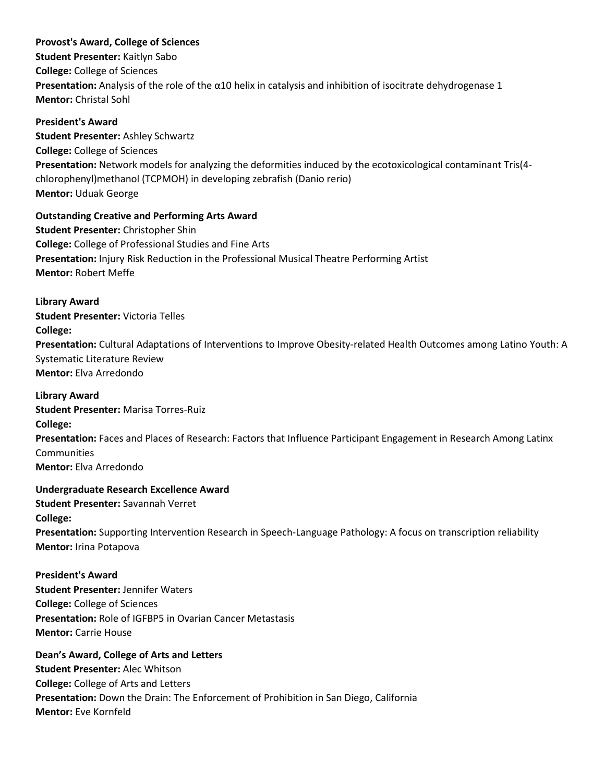## **Provost's Award, College of Sciences**

**Student Presenter:** Kaitlyn Sabo **College:** College of Sciences **Presentation:** Analysis of the role of the α10 helix in catalysis and inhibition of isocitrate dehydrogenase 1 **Mentor:** Christal Sohl

# **President's Award Student Presenter:** Ashley Schwartz **College:** College of Sciences **Presentation:** Network models for analyzing the deformities induced by the ecotoxicological contaminant Tris(4 chlorophenyl)methanol (TCPMOH) in developing zebrafish (Danio rerio) **Mentor:** Uduak George

## **Outstanding Creative and Performing Arts Award**

**Student Presenter:** Christopher Shin **College:** College of Professional Studies and Fine Arts **Presentation:** Injury Risk Reduction in the Professional Musical Theatre Performing Artist **Mentor:** Robert Meffe

## **Library Award**

**Student Presenter:** Victoria Telles **College: Presentation:** Cultural Adaptations of Interventions to Improve Obesity-related Health Outcomes among Latino Youth: A Systematic Literature Review **Mentor:** Elva Arredondo

## **Library Award**

**Student Presenter:** Marisa Torres-Ruiz **College: Presentation:** Faces and Places of Research: Factors that Influence Participant Engagement in Research Among Latinx Communities **Mentor:** Elva Arredondo

## **Undergraduate Research Excellence Award**

**Student Presenter:** Savannah Verret **College: Presentation:** Supporting Intervention Research in Speech-Language Pathology: A focus on transcription reliability **Mentor:** Irina Potapova

## **President's Award**

**Student Presenter:** Jennifer Waters **College:** College of Sciences **Presentation:** Role of IGFBP5 in Ovarian Cancer Metastasis **Mentor:** Carrie House

## **Dean's Award, College of Arts and Letters**

**Student Presenter:** Alec Whitson **College:** College of Arts and Letters **Presentation:** Down the Drain: The Enforcement of Prohibition in San Diego, California **Mentor:** Eve Kornfeld